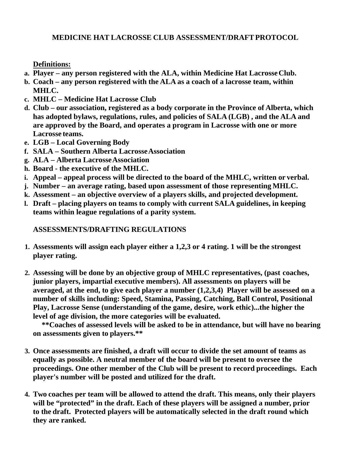**Definitions:** 

- **a. Player any person registered with the ALA, within Medicine Hat Lacrosse Club.**
- **b. Coach any person registered with the ALA as a coach of a lacrosse team, within MHLC.**
- **c. MHLC Medicine Hat Lacrosse Club**
- **d. Club our association, registered as a body corporate in the Province of Alberta, which has adopted bylaws, regulations, rules, and policies of SALA (LGB) , and the ALA and are approved by the Board, and operates a program in Lacrosse with one or more Lacrosse teams.**
- **e. LGB Local Governing Body**
- **f. SALA Southern Alberta Lacrosse Association**
- **g. ALA Alberta Lacrosse Association**
- **h. Board the executive of the MHLC.**
- **i. Appeal appeal process will be directed to the board of the MHLC, written or verbal.**
- **j. Number an average rating, based upon assessment of those representing MHLC.**
- **k. Assessment an objective overview of a players skills, and projected development.**
- **l. Draft placing players on teams to comply with current SALA guidelines, in keeping teams within league regulations of a parity system.**

## **ASSESSMENTS/DRAFTING REGULATIONS**

- **1. Assessments will assign each player either a 1,2,3 or 4 rating. 1 will be the strongest player rating.**
- **2. Assessing will be done by an objective group of MHLC representatives, (past coaches, junior players, impartial executive members). All assessments on players will be averaged, at the end, to give each player a number (1,2,3,4) Player will be assessed on a number of skills including: Speed, Stamina, Passing, Catching, Ball Control, Positional Play, Lacrosse Sense (understanding of the game, desire, work ethic)...the higher the level of age division, the more categories will be evaluated.**

**\*\*Coaches of assessed levels will be asked to be in attendance, but will have no bearing on assessments given to players.\*\*** 

- **3. Once assessments are finished, a draft will occur to divide the set amount of teams as equally as possible. A neutral member of the board will be present to oversee the proceedings. One other member of the Club will be present to record proceedings. Each player's number will be posted and utilized for the draft.**
- **4. Two coaches per team will be allowed to attend the draft. This means, only their players will be "protected" in the draft. Each of these players will be assigned a number, prior to the draft. Protected players will be automatically selected in the draft round which they are ranked.**